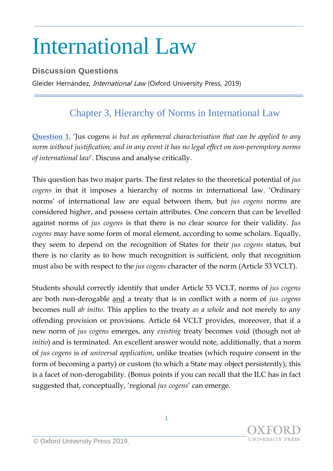## International Law

## **Discussion Questions**

Gleider Hernández, International Law (Oxford University Press, 2019)

## Chapter 3, Hierarchy of Norms in International Law

**Question 1.** 'Jus cogens *is but an ephemeral characterisation that can be applied to any norm without justification; and in any event it has no legal effect on non-peremptory norms of international law*'. Discuss and analyse critically.

This question has two major parts. The first relates to the theoretical potential of *jus cogens* in that it imposes a hierarchy of norms in international law. 'Ordinary norms' of international law are equal between them, but *jus cogens* norms are considered higher, and possess certain attributes. One concern that can be levelled against norms of *jus cogens* is that there is no clear source for their validity. *Jus cogens* may have some form of moral element, according to some scholars. Equally, they seem to depend on the recognition of States for their *jus cogens* status, but there is no clarity as to how much recognition is sufficient, only that recognition must also be with respect to the *jus cogens* character of the norm (Article 53 VCLT).

Students should correctly identify that under Article 53 VCLT, norms of *jus cogens* are both non-derogable and a treaty that is in conflict with a norm of *jus cogens* becomes null *ab initio*. This applies to the treaty *as a whole* and not merely to any offending provision or provisions. Article 64 VCLT provides, moreover, that if a new norm of *jus cogens* emerges, any *existing* treaty becomes void (though not *ab initio*) and is terminated. An excellent answer would note, additionally, that a norm of *jus cogens* is of *universal application*, unlike treaties (which require consent in the form of becoming a party) or custom (to which a State may object persistently); this is a facet of non-derogability. (Bonus points if you can recall that the ILC has in fact suggested that, conceptually, 'regional *jus cogens*' can emerge.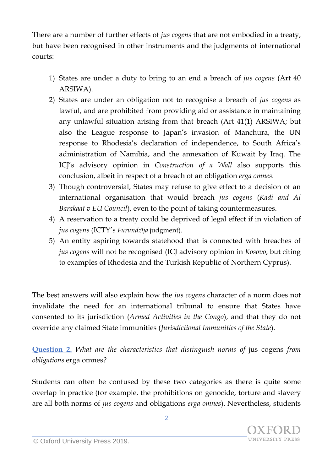There are a number of further effects of *jus cogens* that are not embodied in a treaty, but have been recognised in other instruments and the judgments of international courts:

- 1) States are under a duty to bring to an end a breach of *jus cogens* (Art 40 ARSIWA).
- 2) States are under an obligation not to recognise a breach of *jus cogens* as lawful, and are prohibited from providing aid or assistance in maintaining any unlawful situation arising from that breach (Art 41(1) ARSIWA; but also the League response to Japan's invasion of Manchura, the UN response to Rhodesia's declaration of independence, to South Africa's administration of Namibia, and the annexation of Kuwait by Iraq. The ICJ's advisory opinion in *Construction of a Wall* also supports this conclusion, albeit in respect of a breach of an obligation *erga omnes*.
- 3) Though controversial, States may refuse to give effect to a decision of an international organisation that would breach *jus cogens* (*Kadi and Al Barakaat v EU Council*), even to the point of taking countermeasures.
- 4) A reservation to a treaty could be deprived of legal effect if in violation of *jus cogens* (ICTY's *Furundžija* judgment).
- 5) An entity aspiring towards statehood that is connected with breaches of *jus cogens* will not be recognised (ICJ advisory opinion in *Kosovo*, but citing to examples of Rhodesia and the Turkish Republic of Northern Cyprus).

The best answers will also explain how the *jus cogens* character of a norm does not invalidate the need for an international tribunal to ensure that States have consented to its jurisdiction (*Armed Activities in the Congo*), and that they do not override any claimed State immunities (*Jurisdictional Immunities of the State*).

**Question 2.** *What are the characteristics that distinguish norms of* jus cogens *from obligations* erga omnes*?*

Students can often be confused by these two categories as there is quite some overlap in practice (for example, the prohibitions on genocide, torture and slavery are all both norms of *jus cogens* and obligations *erga omnes*). Nevertheless, students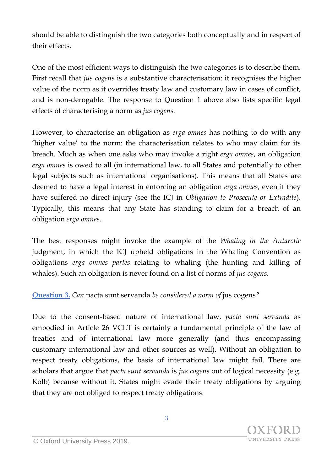should be able to distinguish the two categories both conceptually and in respect of their effects.

One of the most efficient ways to distinguish the two categories is to describe them. First recall that *jus cogens* is a substantive characterisation: it recognises the higher value of the norm as it overrides treaty law and customary law in cases of conflict, and is non-derogable. The response to Question 1 above also lists specific legal effects of characterising a norm as *jus cogens.*

However, to characterise an obligation as *erga omnes* has nothing to do with any 'higher value' to the norm: the characterisation relates to who may claim for its breach. Much as when one asks who may invoke a right *erga omnes*, an obligation *erga omnes* is owed to all (in international law, to all States and potentially to other legal subjects such as international organisations). This means that all States are deemed to have a legal interest in enforcing an obligation *erga omnes*, even if they have suffered no direct injury (see the ICJ in *Obligation to Prosecute or Extradite*). Typically, this means that any State has standing to claim for a breach of an obligation *erga omnes*.

The best responses might invoke the example of the *Whaling in the Antarctic* judgment, in which the ICJ upheld obligations in the Whaling Convention as obligations *erga omnes partes* relating to whaling (the hunting and killing of whales). Such an obligation is never found on a list of norms of *jus cogens*.

## **Question 3.** *Can* pacta sunt servanda *be considered a norm of* jus cogens*?*

Due to the consent-based nature of international law, *pacta sunt servanda* as embodied in Article 26 VCLT is certainly a fundamental principle of the law of treaties and of international law more generally (and thus encompassing customary international law and other sources as well). Without an obligation to respect treaty obligations, the basis of international law might fail. There are scholars that argue that *pacta sunt servanda* is *jus cogens* out of logical necessity (e.g. Kolb) because without it, States might evade their treaty obligations by arguing that they are not obliged to respect treaty obligations.

**UNIVERSITY PRESS**